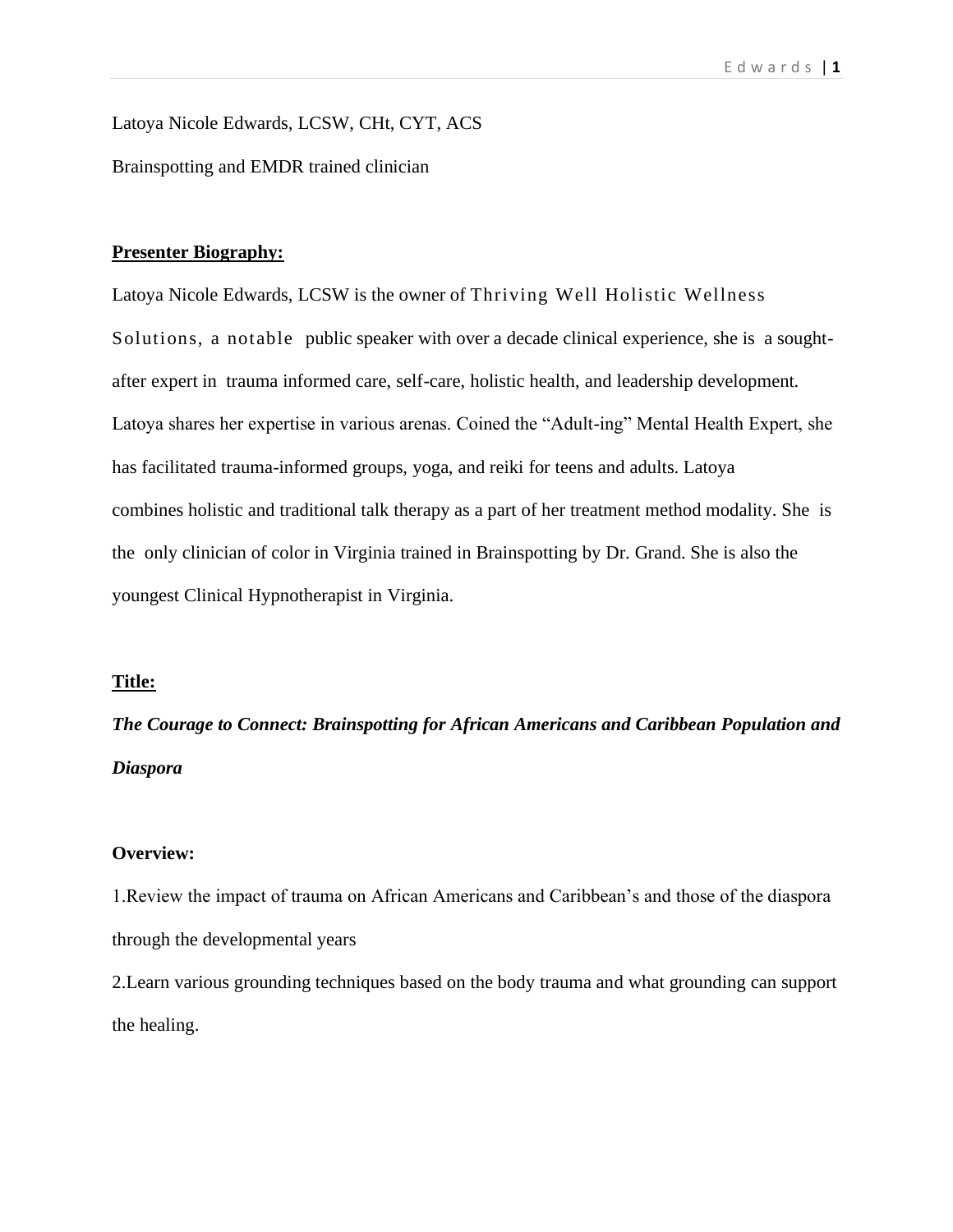Latoya Nicole Edwards, LCSW, CHt, CYT, ACS Brainspotting and EMDR trained clinician

#### **Presenter Biography:**

Latoya Nicole Edwards, LCSW is the owner of [Thriving Well Holistic Wellness](http://www.thrivewellservices.com/)  [Solutions,](http://www.thrivewellservices.com/) a notable public speaker with over a decade clinical experience, she is a soughtafter expert in trauma informed care, self-care, holistic health, and leadership development. Latoya shares her expertise in various arenas. Coined the "Adult-ing" Mental Health Expert, she has facilitated trauma-informed groups, yoga, and reiki for teens and adults. Latoya combines holistic and traditional talk therapy as a part of her treatment method modality. She is the only clinician of color in Virginia trained in Brainspotting by Dr. Grand. She is also the youngest Clinical Hypnotherapist in Virginia.

## **Title:**

*The Courage to Connect: Brainspotting for African Americans and Caribbean Population and Diaspora*

## **Overview:**

1.Review the impact of trauma on African Americans and Caribbean's and those of the diaspora through the developmental years

2.Learn various grounding techniques based on the body trauma and what grounding can support the healing.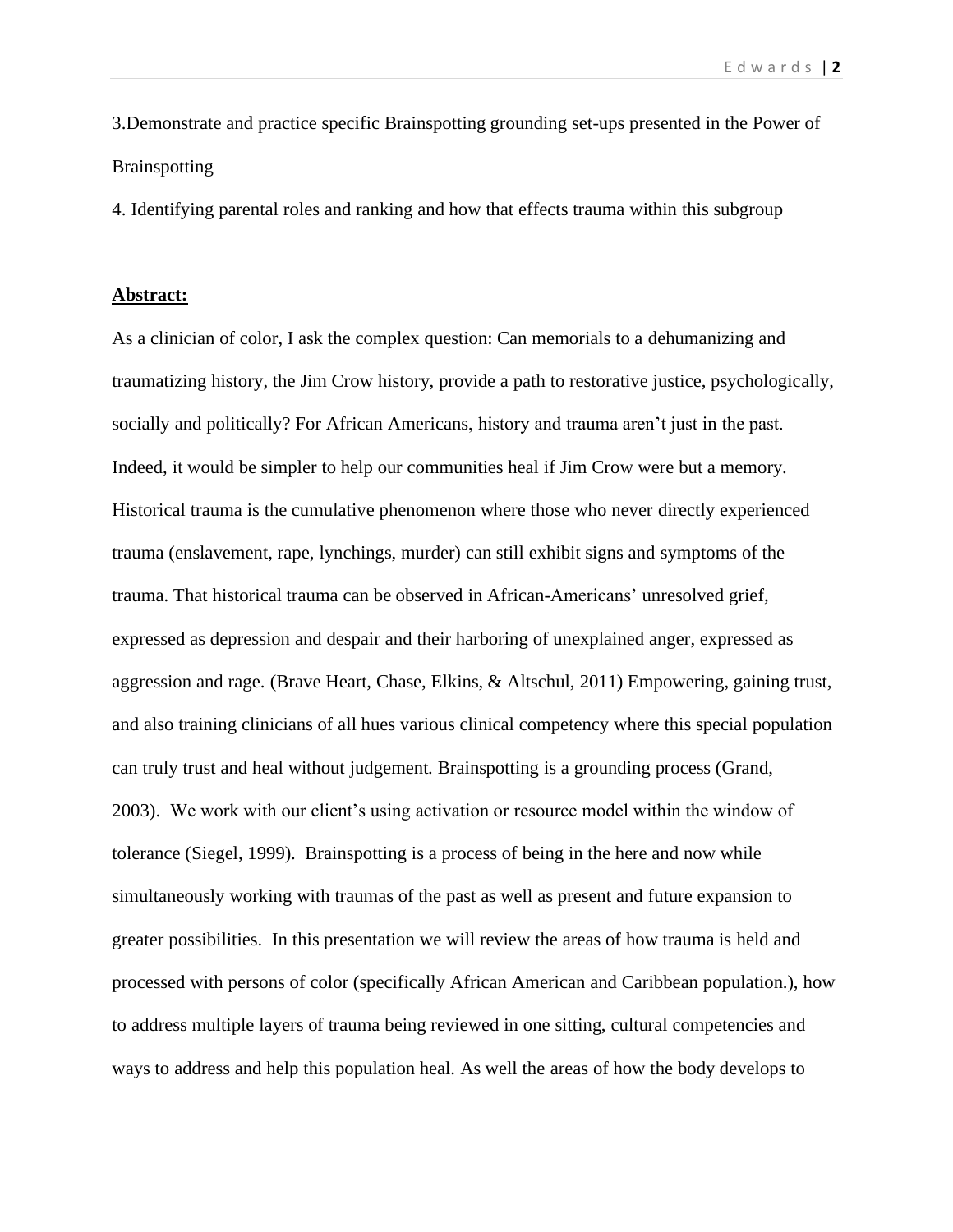3.Demonstrate and practice specific Brainspotting grounding set-ups presented in the Power of Brainspotting

4. Identifying parental roles and ranking and how that effects trauma within this subgroup

## **Abstract:**

As a clinician of color, I ask the complex question: Can memorials to a [dehumanizing and](http://journals.sagepub.com/doi/abs/10.1177/1532708616634839)  [traumatizing history,](http://journals.sagepub.com/doi/abs/10.1177/1532708616634839) the Jim Crow history, provide a path to restorative justice, psychologically, socially and politically? For African Americans, history and trauma aren't just in the past. Indeed, it would be simpler to help our communities heal if Jim Crow were but a memory. Historical trauma is the cumulative phenomenon where those who never directly experienced trauma (enslavement, rape, lynchings, murder) can still exhibit signs and [symptoms of the](https://www.researchgate.net/publication/232897229_Historical_Trauma_Among_Indigenous_Peoples_of_the_Americas_Concepts_Research_and_Clinical_Considerations)  [trauma.](https://www.researchgate.net/publication/232897229_Historical_Trauma_Among_Indigenous_Peoples_of_the_Americas_Concepts_Research_and_Clinical_Considerations) That historical trauma can be observed [in African-Americans'](https://www.researchgate.net/publication/232897229_Historical_Trauma_Among_Indigenous_Peoples_of_the_Americas_Concepts_Research_and_Clinical_Considerations) unresolved grief, expressed as depression and despair and their harboring of unexplained anger, expressed as aggression and rage. (Brave Heart, Chase, Elkins, & Altschul, 2011) Empowering, gaining trust, and also training clinicians of all hues various clinical competency where this special population can truly trust and heal without judgement. Brainspotting is a grounding process (Grand, 2003). We work with our client's using activation or resource model within the window of tolerance (Siegel, 1999). Brainspotting is a process of being in the here and now while simultaneously working with traumas of the past as well as present and future expansion to greater possibilities. In this presentation we will review the areas of how trauma is held and processed with persons of color (specifically African American and Caribbean population.), how to address multiple layers of trauma being reviewed in one sitting, cultural competencies and ways to address and help this population heal. As well the areas of how the body develops to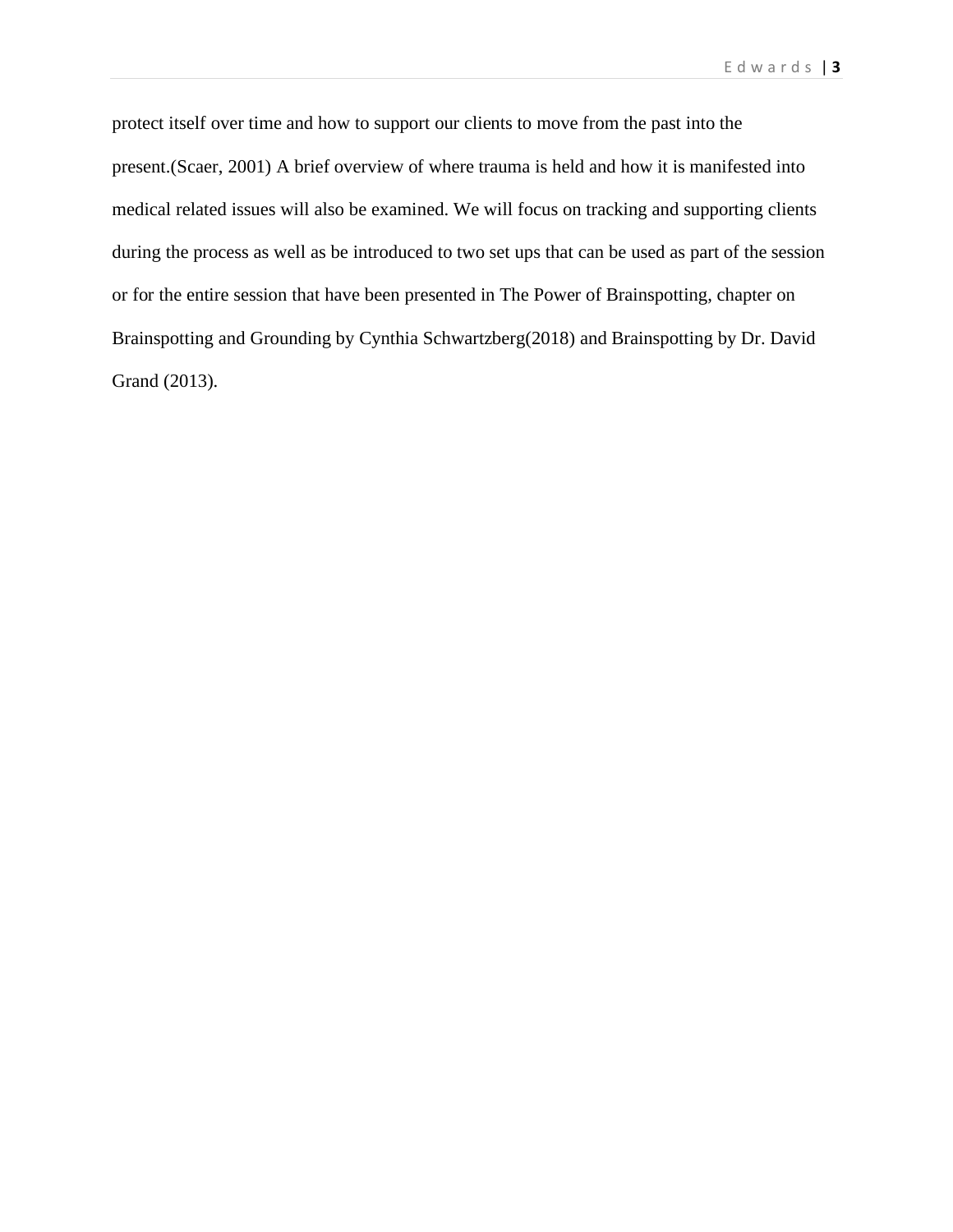protect itself over time and how to support our clients to move from the past into the present.(Scaer, 2001) A brief overview of where trauma is held and how it is manifested into medical related issues will also be examined. We will focus on tracking and supporting clients during the process as well as be introduced to two set ups that can be used as part of the session or for the entire session that have been presented in The Power of Brainspotting, chapter on Brainspotting and Grounding by Cynthia Schwartzberg(2018) and Brainspotting by Dr. David Grand (2013).